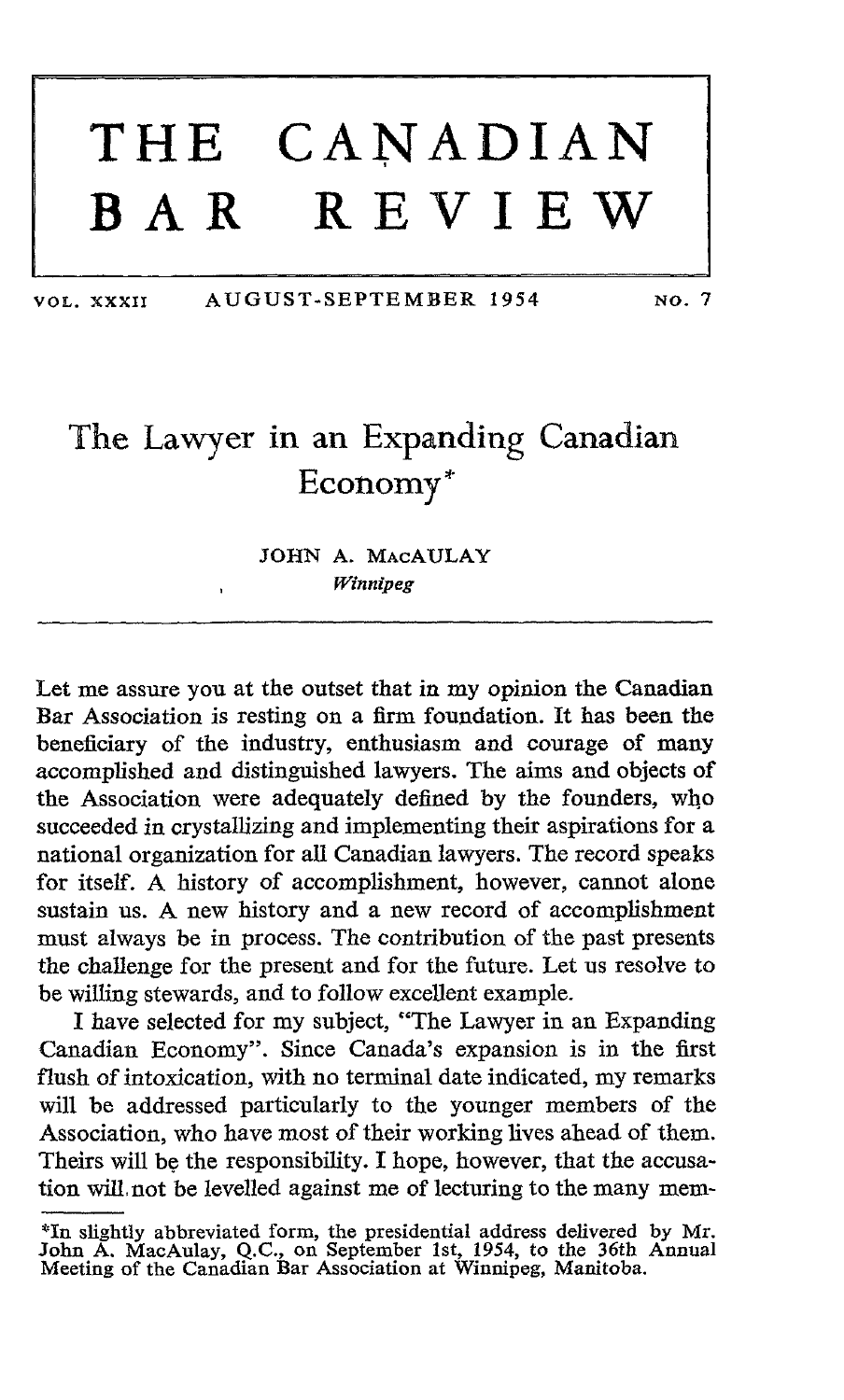## THE CANADIAN<br>BAR REVIEW REVIEW

VOL. XXXII AUGUST-SEPTEMBER 1954 No. <sup>7</sup>

## The Lawyer in an Expanding Canadian Economy

## JOHN A. MAcAULAY Winnipeg

Let me assure you at the outset that in my opinion the Canadian Bar Association is resting on a firm foundation. It has been the beneficiary of the industry, enthusiasm and courage of many accomplished and distinguished lawyers. The aims and objects of the Association were adequately defined by the founders, who succeeded in crystallizing and implementing their aspirations for a national organization for all Canadian lawyers. The record speaks for itself. A history of accomplishment, however, cannot alone sustain us. A new history and <sup>a</sup> new record of accomplishment must always be in process. The contribution of the past presents the challenge for the present and for the future. Let us resolve to be willing stewards, and to follow excellent example.

I have selected for my subject, "The Lawyer in an Expanding Canadian Economy". Since Canada's expansion is in the first flush of intoxication, with no terminal date indicated, my remarks will be addressed particularly to the younger members of the Association, who have most of their working lives ahead of them. Theirs will be the responsibility. I hope, however, that the accusation will, not be levelled against me of lecturing to the many mem-

<sup>\*</sup>In slightly abbreviated form, the presidential address delivered by Mr. John A. MacAulay, Q.C., on September 1st, 1954, to the 36th Annual Meeting of the Canadian Bar Association at Winnipeg, Manitoba.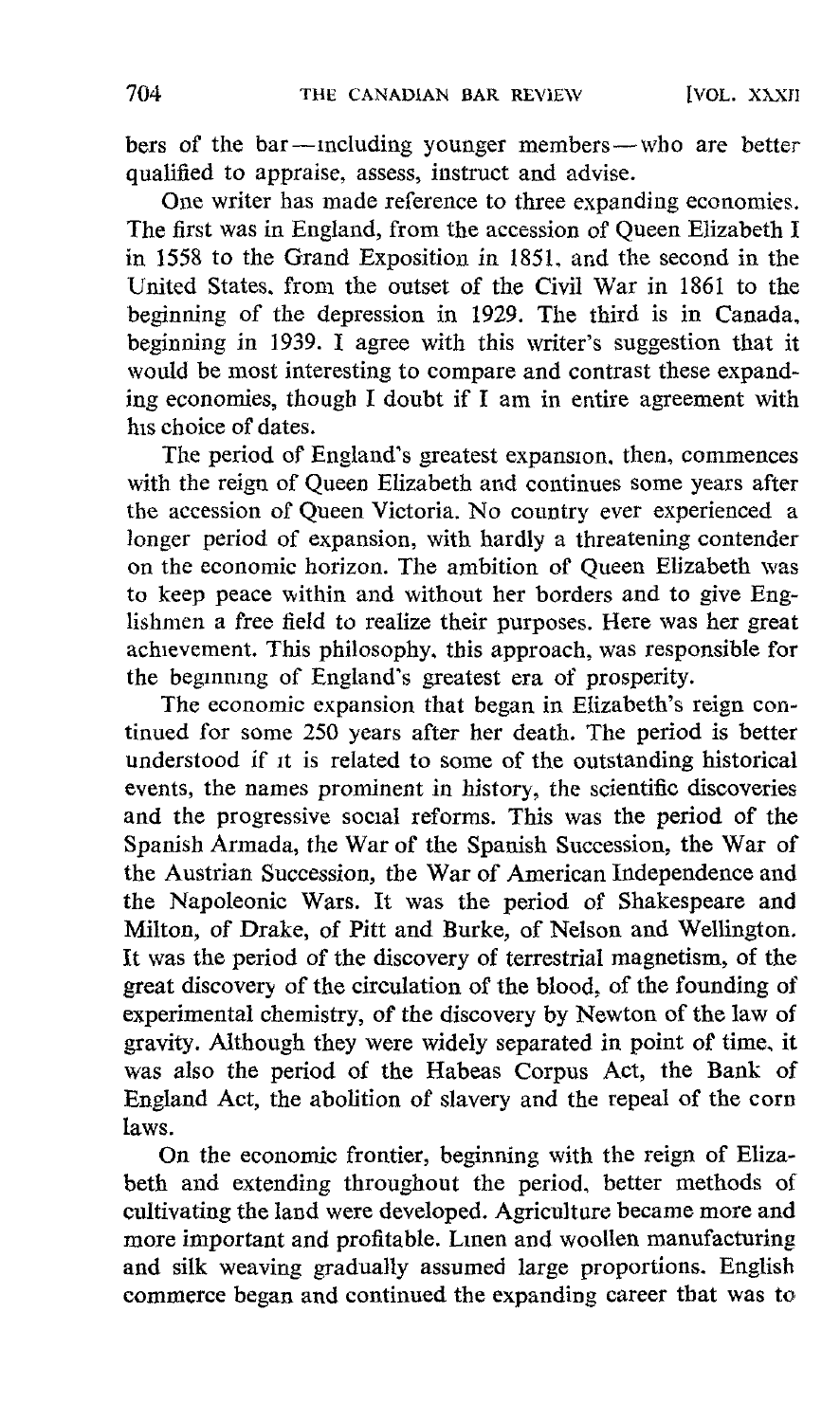hers of the bar-including younger members-wbo are better qualified to appraise, assess, instruct and advise.

One writer has made reference to three expanding economies. The first was in England, from the accession of Queen Elizabeth I in 1558 to the Grand Exposition in 1851, and the second in the United States, from the outset of the Civil War in <sup>1861</sup> to the beginning of the depression in 1929. The third is in Canada, beginning in 1939. I agree with this writer's suggestion that it would be most interesting to compare and contrast these expanding economies, though <sup>I</sup> doubt if <sup>I</sup> am in entire agreement with his choice of dates.

The period of England's greatest expansion, then, commences with the reign of Queen Elizabeth and continues some years after the accession of Queen Victoria . No country ever experienced <sup>a</sup> longer period of expansion, with hardly a threatening contender on the economic horizon. The ambition of Queen Elizabeth was to keep peace within and without her borders and to give Englishmen a free field to realize their purposes. Here was her great achievement. This philosophy, this approach, was responsible for the beginning of England's greatest era of prosperity.

The economic expansion that began in Elizabeth's reign continued for some 250 years after her death. The period is better understood if it is related to some of the outstanding historical events, the names prominent in history, the scientific discoveries and the progressive social reforms. This was the period of the Spanish Armada, the War of the Spanish Succession, the War of the Austrian Succession, the War of American Independence and the Napoleonic Wars. It was the period of Shakespeare and Milton, of Drake, of Pitt and Burke, of Nelson and Wellington. It was the period of the discovery of terrestrial magnetism, of the great discovery of the circulation of the blood, of the founding of experimental chemistry, of the discovery by Newton of the law of gravity. Although they were widely separated in point of time, it was also the period of the Habeas Corpus Act, the Bank of England Act, the abolition of slavery and the repeal of the corn laws.

On the economic frontier, beginning with the reign of Elizabeth and extending throughout the period, better methods of cultivating the land were developed. Agriculture became more and more important and profitable. Linen and woollen manufacturing and silk weaving gradually assumed large proportions. English commerce began and continued the expanding career that was to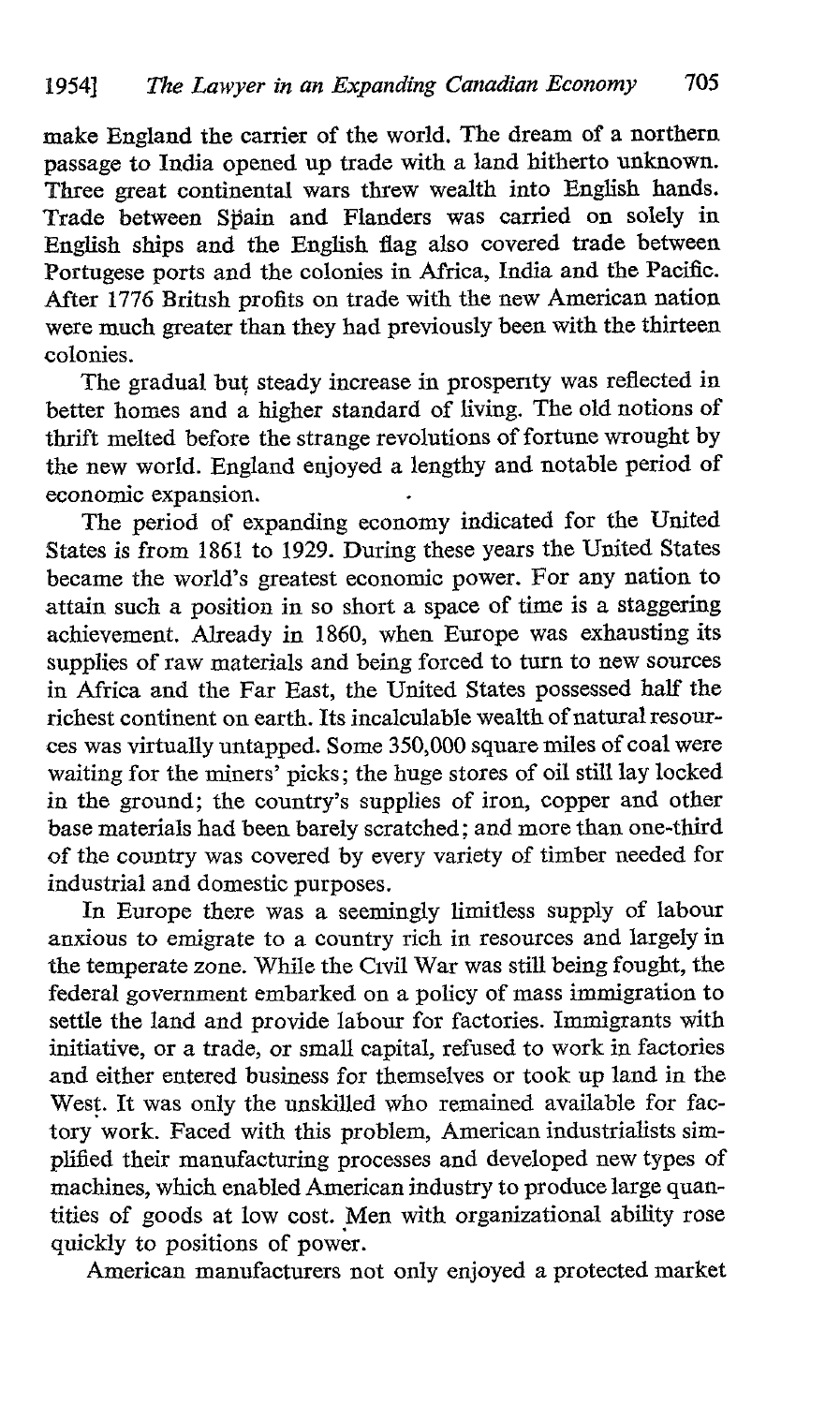make England the carrier of the world. The dream of a northern passage to India opened up trade with a land hitherto unknown. Three great continental wars threw wealth into English hands. Trade between Spain and Flanders was carried on solely in English ships and the English flag also covered trade between Portugese ports and the colonies in Africa, India and the Pacific. After 1776 British profits on trade with the new American nation. were much greater than they had previously been with the thirteen colonies .

The gradual but steady increase in prosperity was reflected in better homes and a higher standard of living. The old notions of thrift melted before the strange revolutions of fortune wrought by the new world. England enjoyed a lengthy and notable period of economic expansion. .

The period of expanding economy indicated for the United States is from 1861 to 1929. During these years the United States became the world's greatest economic power. For any nation to attain such a position in so short a space of time is a staggering achievement. Already in 1860, when Europe was exhausting its supplies of raw materials and being forced to turn to new sources in Africa and the Far East, the United States possessed half the richest continent on earth. Its incalculable wealth of natural resources was virtually untapped. Some 350,000 square miles of coal were waiting for the miners' picks ; the huge stores of oil still lay locked in the ground: the country's supplies of iron, copper and other base materials had been barely scratched ; and more than one-third of the country was covered by every variety of timber needed for industrial and domestic purposes .

In Europe there was a seemingly limitless supply of labour anxious to emigrate to a country rich in resources and largely in the temperate zone. While the Civil War was still being fought, the federal government embarked on a policy of mass immigration to settle the land and provide labour for factories. Immigrants with initiative, or a trade, or small capital, refused to work in factories and either entered business for themselves or took up land in the West. It was only the unskilled who remained available for factory work. Faced with this problem, American industrialists simplified their manufacturing processes and developed new types of machines, which enabled American industry to produce large quantities of goods at low cost . Men with organizational ability rose quickly to positions of power.

American manufacturers not only enjoyed a protected market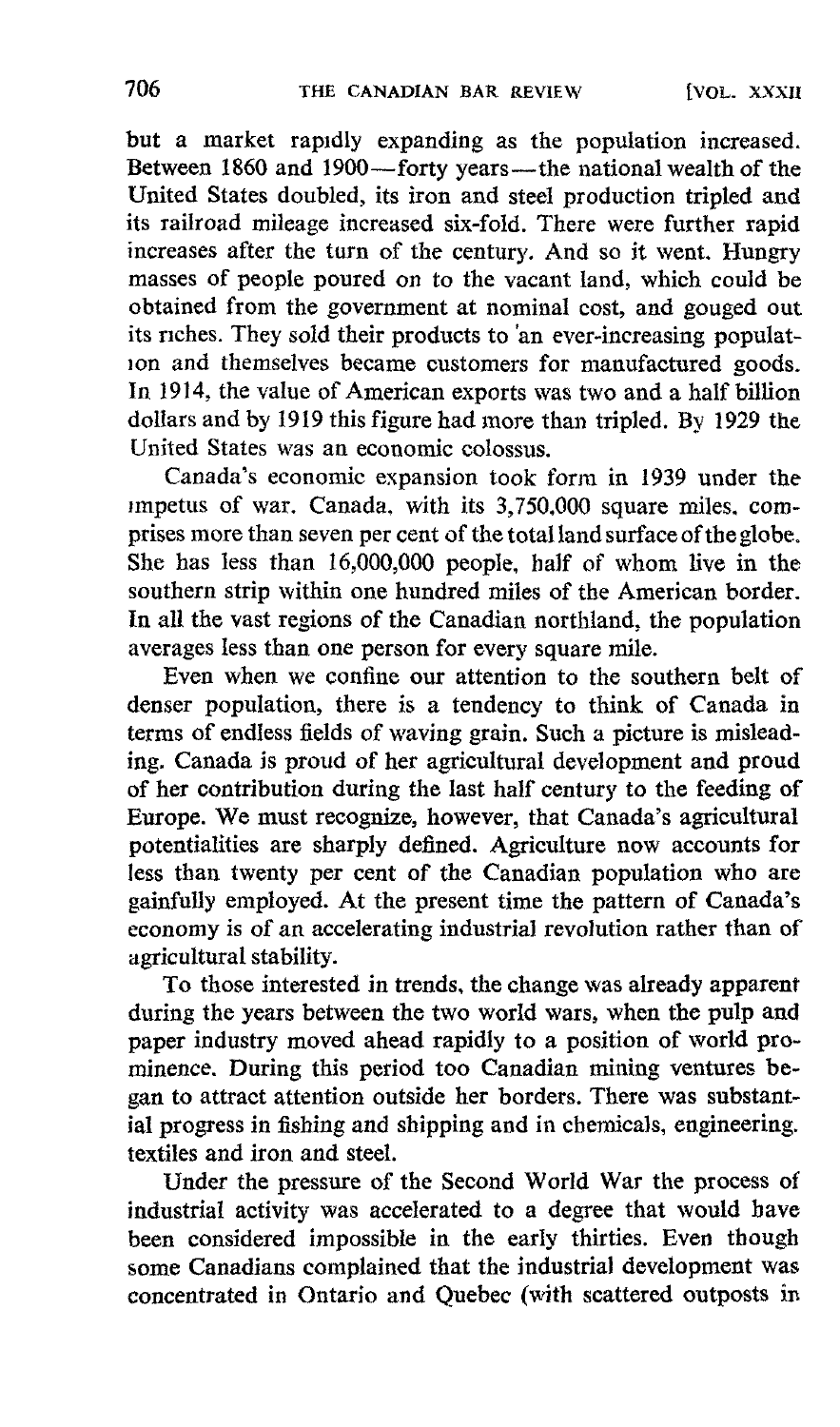but a market rapidly expanding as the population increased. Between 1860 and 1900—forty years—the national wealth of the United States doubled, its iron and steel production tripled and its railroad mileage increased six-fold. There were further rapid increases after the turn of the century. And so it went. Hungry masses of people poured on to the vacant land, which could be obtained from the government at nominal cost, and gouged out its riches. They sold their products to 'an ever-increasing population and themselves became customers for manufactured goods. In 1914, the value of American exports was two and a half billion dollars and by 1919 this figure had more than tripled. By 1929 the United States was an economic colossus.

Canada's economic expansion took form in 1939 under the impetus of war. Canada, with its 3,750,000 square miles. comprises more than seven per cent of the total land surface of the globe. She has less than 16,000,000 people, half of whom live in the southern strip within one hundred miles of the American border. In all the vast regions of the Canadian northland, the population averages less than one person for every square mile .

Even when we confine our attention to the southern belt of denser population, there is a tendency to think of Canada in terms of endless fields of waving grain. Such a picture is mislead ing. Canada is proud of her agricultural development and proud of her contribution during the last half century to the feeding of Europe . We must recognize, however, that Canada's agricultural potentialities are sharply defined. Agriculture now accounts for less than twenty per cent of the Canadian population who are gainfully employed. At the present time the pattern of Canada's economy is of an accelerating industrial revolution rather than of agricultural stability.<br>To those interested in trends, the change was already apparent

To those interested in trends, the change was already apparent during the years between the two world wars, when the pulp and paper industry moved ahead rapidly to a position of world prominence. During this period too Canadian mining ventures began to attract attention outside her borders. There was substantial progress in fishing and shipping and in chemicals, engineering. textiles and iron and steel.

Under the pressure of the Second World War the process of industrial activity was accelerated to a degree that would have been considered impossible in the early thirties. Even though some Canadians complained that the industrial development was concentrated in Ontario and Quebec (with scattered outposts in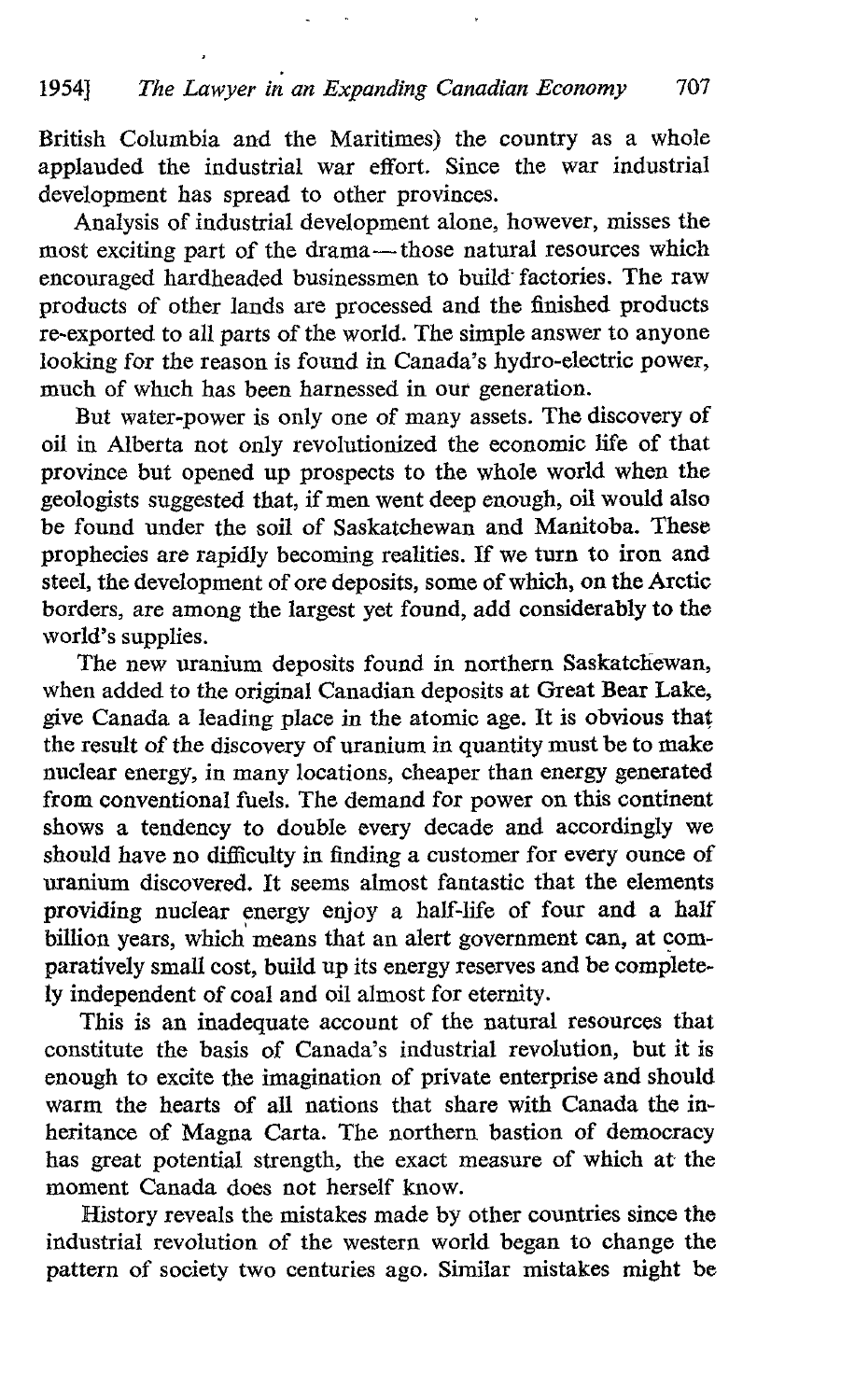British Columbia and the Maritimes) the country as a whole applauded the industrial war effort. Since the war industrial development has spread to other provinces.

Analysis of industrial development alone, however, misses the most exciting part of the drama-those natural resources which encouraged hardheaded businessmen to build- factories. The raw products of other lands are processed and the finished products re-exported to all parts of the world. The simple answer to anyone looking for the reason is found in Canada's hydro-electric power, much of which has been harnessed in our generation.

But water-power is only one of many assets. The discovery of oil in Alberta not only revolutionized the economic life of that province but opened up prospects to the whole world when the geologists suggested that, if menwent deep enough, oil would also be found under the soil of Saskatchewan and Manitoba. These prophecies are rapidly becoming realities. If we turn to iron and steel, the development of ore deposits, some of which, on the Arctic borders, are among the largest yet found, add considerably to the world's supplies.

The new uranium deposits found in northern Saskatchewan, when added to the original Canadian deposits at Great Bear Lake, give Canada a leading place in the atomic age. It is obvious that the result of the discovery of uranium in quantity must be to make nuclear energy, in many locations, cheaper than energy generated from conventional fuels. The demand for power on this continent shows a tendency to double every decade and accordingly we should have no difficulty in finding a customer for every ounce of uranium discovered. It seems almost fantastic that the elements providing nuclear energy enjoy a half-life of four and a half billion years, which means that an alert government can, at comparatively small cost, build up its energy reserves and be completely independent of coal and oil almost for eternity.

This is an inadequate account of the natural resources that constitute the basis of Canada's industrial revolution, but it is enough to excite the imagination of private enterprise and should warm the hearts of all nations that share with Canada the inheritance of Magna Carta. The northern bastion of democracy has great potential strength, the exact measure of which at the moment Canada does not herself know.

History reveals the mistakes made by other countries since the industrial revolution of the western world began to change the pattern of society two centuries ago. Similar mistakes might be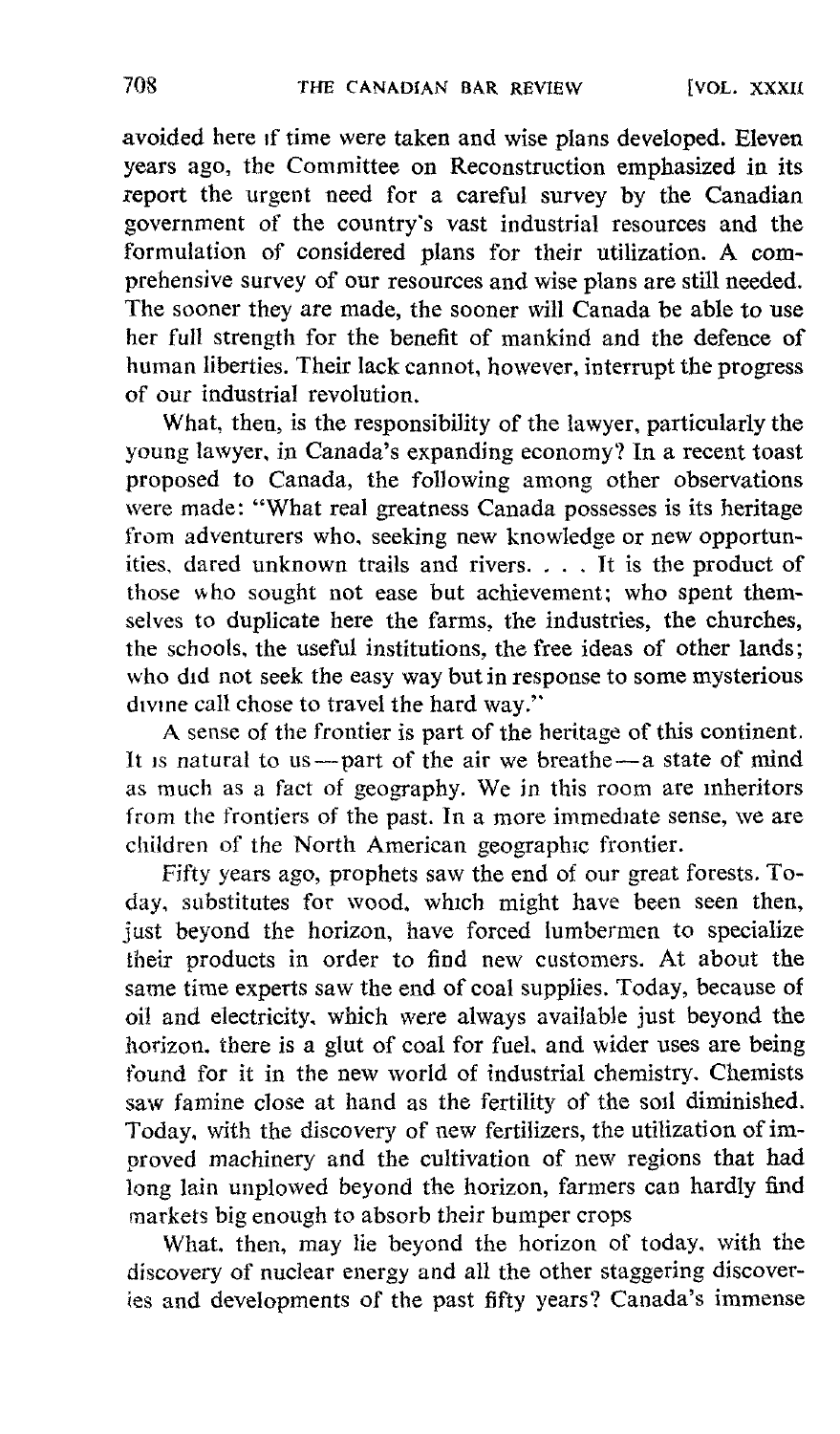avoided here if time were taken and wise plans developed. Eleven years ago, the Committee on Reconstruction emphasized in its report the urgent need for a careful survey by the Canadian government of the country's vast industrial resources and the formulation of considered plans for their utilization. A comprehensive survey of our resources and wise plans are still needed. The sooner they are made, the sooner will Canada be able to use her full strength for the benefit of mankind and the defence of human liberties. Their lack cannot, however, interrupt the progress of our industrial revolution.

What, then, is the responsibility of the lawyer, particularly the young lawyer, in Canada's expanding economy? In a recent toast proposed to Canada, the following among other observations were made: "What real greatness Canada possesses is its heritage from adventurers who, seeking new knowledge or new opportunities, dared unknown trails and rivers. . . . It is the product of those who sought not ease but achievement; who spent themselves to duplicate here the farms, the industries, the churches, the schools, the useful institutions, the free ideas of other lands; who did not seek the easy way but in response to some mysterious divine call chose to travel the hard way."

A sense of the frontier is part of the heritage of this continent. It is natural to us—part of the air we breathe—a state of mind as much as a fact of geography. We in this room are inheritors from the frontiers of the past. In a more immediate sense, we are children of the North American geographic frontier.

Fifty years ago, prophets saw the end of our great forests. Today, substitutes for wood, which might have been seen then, just beyond the horizon, have forced lumbermen to specialize their products in order to find new customers . At about the same time experts saw the end of coal supplies. Today, because of oil and electricity. which were always available just beyond the horizon. there is a glut of coal for fuel, and wider uses are being found for it in the new world of industrial chemistry. Chemists saw famine close at hand as the fertility of the soil diminished. Today, with the discovery of new fertilizers, the utilization of improved machinery and the cultivation of new regions that had long lain unplowed beyond the horizon, farmers can hardly find markets big enough to absorb their bumper crops

What, then, may lie beyond the horizon of today, with the discovery of nuclear energy and all the other staggering discoveries and developments of the past fifty years? Canada's immense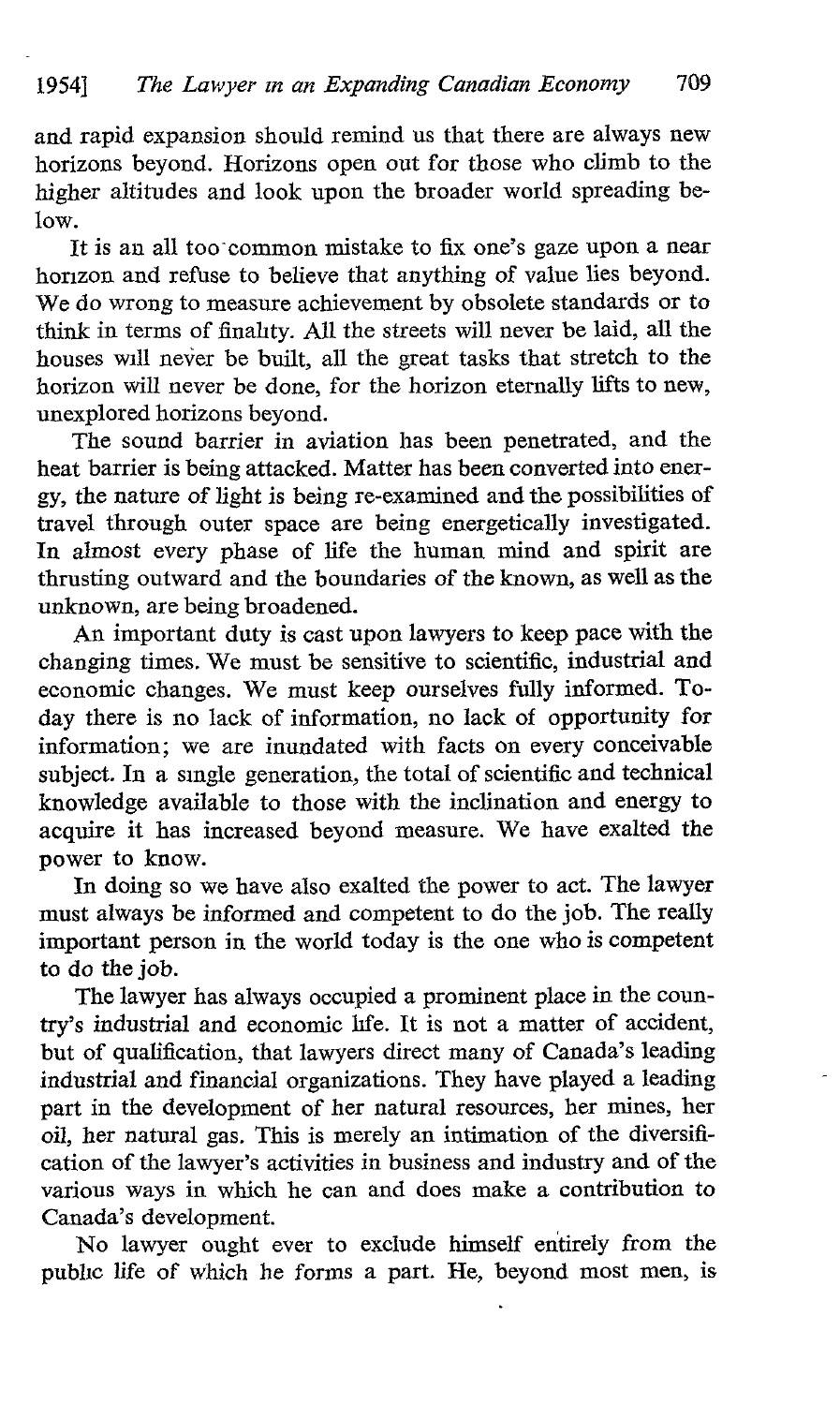and rapid expansion should remind us that there are always new horizons beyond. Horizons open out for those who climb to the higher altitudes and look upon the broader world spreading below.

It is an all too common mistake to fix one's gaze upon a near horizon and refuse to believe that anything of value lies beyond. We do wrong to measure achievement by obsolete standards or to think in terms of finality . All the streets will never be laid, all the houses will never be built, all the great tasks that stretch to the horizon will never be done, for the horizon eternally lifts to new, unexplored horizons beyond.

The sound barrier in aviation has been penetrated, and the heat barrier is being attacked. Matter has been converted into enerheat barrier is being attacked. Matter has been converted into energy, the nature of light is being re-examined andthe possibilities of travel through outer space are being energetically investigated. In almost every phase of life the human mind and spirit are thrusting outward and the boundaries of the known, as well as the unknown, are being broadened.

An important duty is cast upon lawyers to keep pace with the changing times. We must be sensitive to scientific, industrial and economic changes. We must keep ourselves fully informed. Today there is no lack of information, no lack of opportunity for information ; we are inundated with facts on every conceivable subject. In a single generation, the total of scientific and technical knowledge available to those with the inclination and energy to acquire it has increased beyond measure. We have exalted the power to know.

In doing so we have also exalted the power to act. The lawyer must always be informed and competent to do the job. The really important person in the world today is the one who is competent to do the job.

The lawyer has always occupied a prominent place in the country's industrial and economic life . It is not a matter of accident, but of qualification, that lawyers direct many of Canada's leading industrial and financial organizations. They have played a leading part in the development of her natural resources, her mines, her oil, her natural gas. This is merely an intimation of the diversification of the lawyer's activities in business and industry and of the various ways in which he can and does make a contribution to Canada's development.

No lawyer ought ever to exclude himself entirely from the public life of which he forms a part. He, beyond most men, is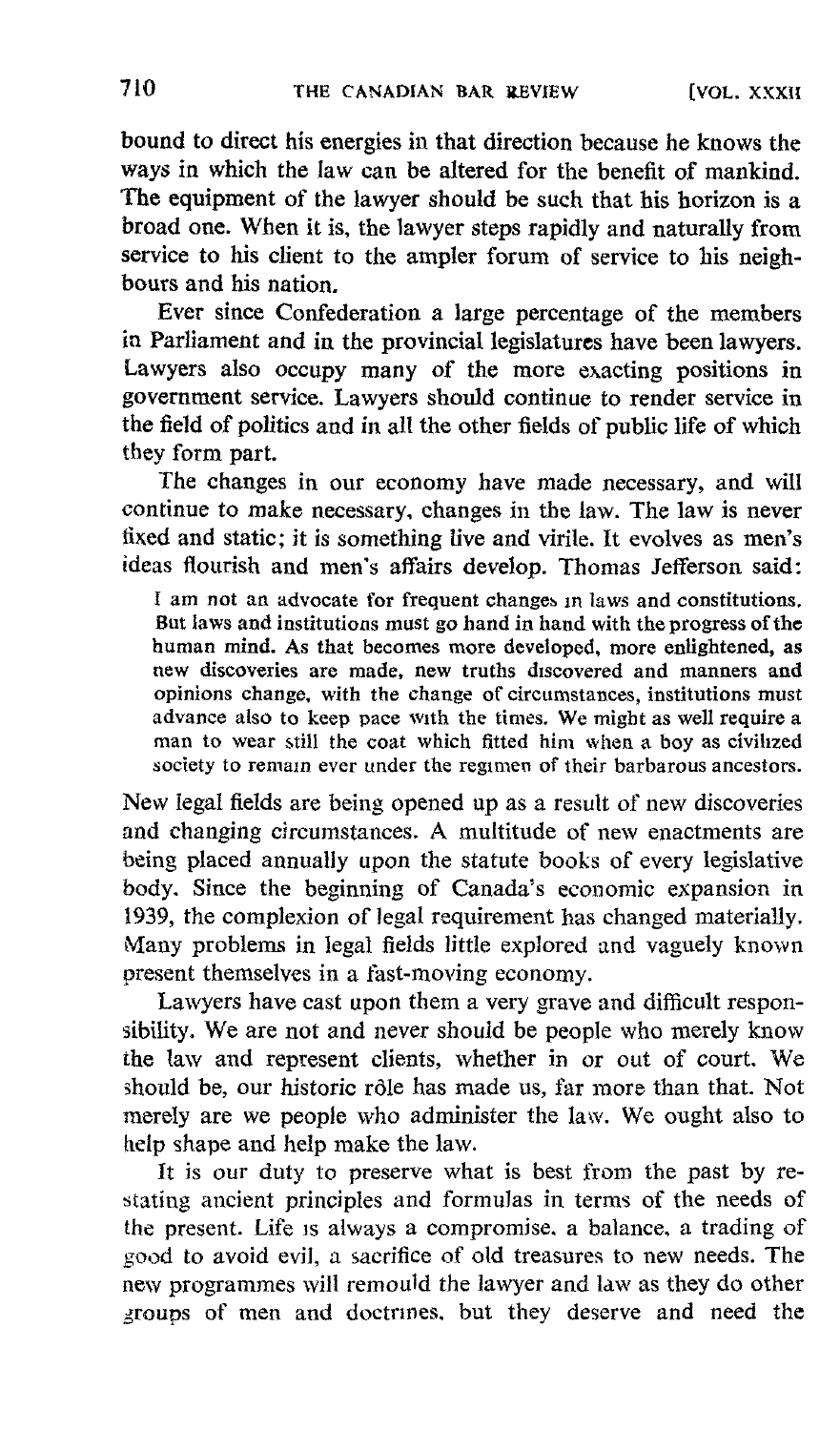bound to direct his energies in that direction because he knows the ways in which the law can be altered for the benefit of mankind. The equipment of the lawyer should be such that his horizon is a broad one. When it is, the lawyer steps rapidly and naturally from service to his client to the ampler forum of service to his neighbours and his nation.

Ever since Confederation a large percentage of the members in Parliament and in the provincial legislatures have been lawyers. Lawyers also occupy many of the more exacting positions in government service. Lawyers should continue to render service in the field of politics and in all the other fields of public life of which they form part.

The changes in our economy have made necessary, and will continue to make necessary, changes in the law. The law is never fixed and static; it is something live and virile. It evolves as men's ideas flourish and men's affairs develop. Thomas Jefferson said :

<sup>I</sup> am not an advocate for frequent changes in laws and constitutions. But laws and institutions must go hand in hand with the progress of the human mind. As that becomes more developed, more enlightened, as new discoveries are made, new truths discovered and manners and opinions change, with the change of circumstances, institutions must advance also to keep pace with the times. We might as well require <sup>a</sup> man to wear still the coat which fitted him when a boy as civilized society to remain ever under the regimen of their barbarous ancestors.

New legal fields are being opened up as a result of new discoveries and changing circumstances. A multitude of new enactments are being placed annually upon the statute books of every legislative body. Since the beginning of Canada's economic expansion in 1939, the complexion of legal requirement has changed materially. Many problems in legal fields little explored and vaguely known present themselves in a fast-moving economy.

Lawyers have cast upon them a very grave and difficult responsibility. We are not and never should be people who merely know the law and represent clients, whether in or out of court. We should be, our historic rôle has made us, far more than that. Not merely are we people who administer the law. We ought also to help shape and help make the law.

It is our duty to preserve what is best from the past by restating ancient principles and formulas in terms of the needs of the present. Life is always a compromise, a balance, a trading of good to avoid evil, a sacrifice of old treasures to new needs. The new programmes will remould the lawyer and law as they do other groups of men and doctrines, but they deserve and need the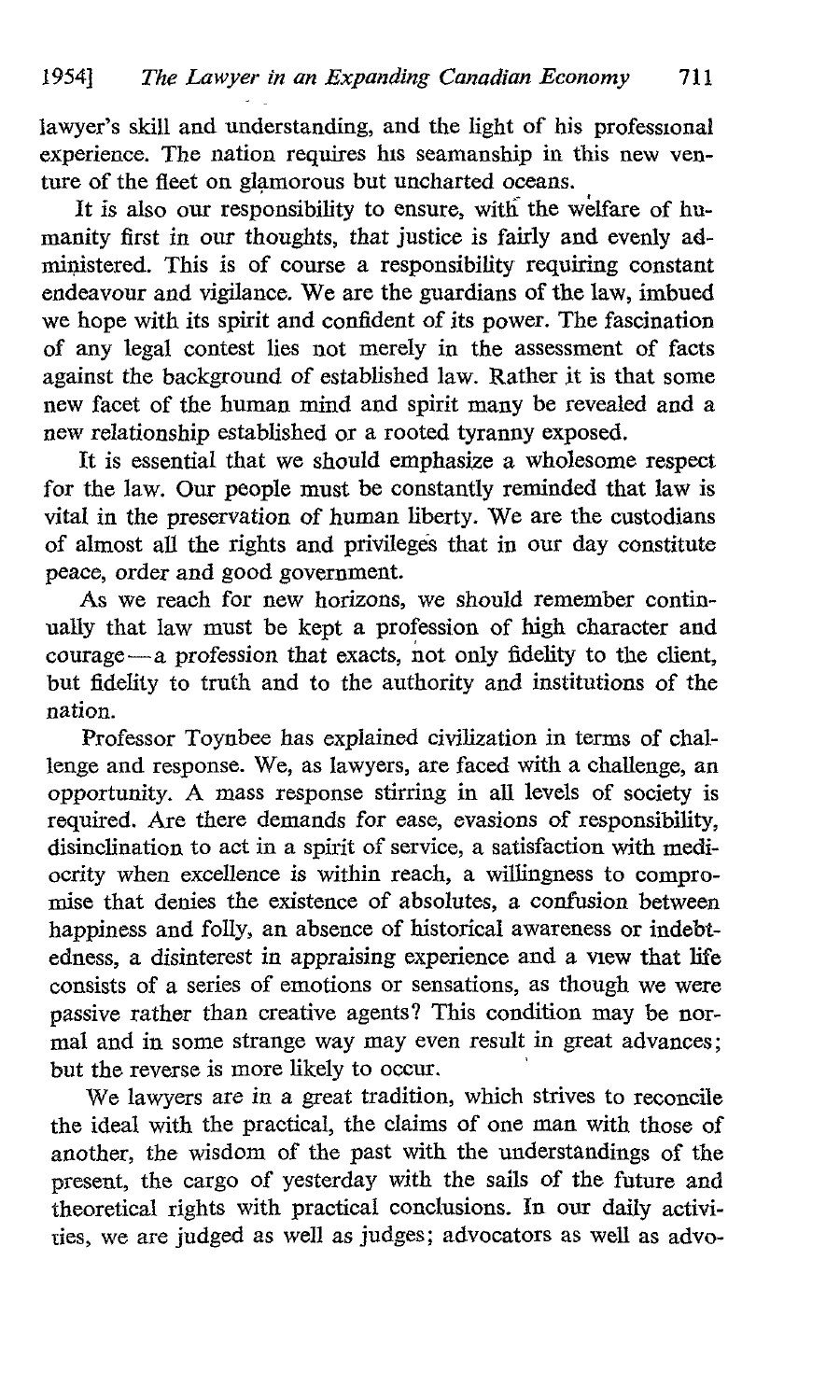lawyer's skill and understanding, and the light of his professional experience. The nation requires his seamanship in this new venture of the fleet on glamorous but uncharted oceans.

It is also our responsibility to ensure, with the welfare of humanity first in our thoughts, that justice is fairly and evenly administered. This is of course a responsibility requiring constant endeavour and vigilance. We are the guardians of the law, imbued we hope with its spirit and confident of its power. The fascination of any legal contest lies not merely in the assessment of facts against the background of established law. Rather it is that some new facet of the human mind and spirit many be revealed and a new relationship established or a rooted tyranny exposed.

It is essential that we should emphasize a wholesome respect for the law. Our people must be constantly reminded that law is vital in the preservation of human liberty. We are the custodians of almost all the rights and privileges that in our day constitute peace, order and good government.

As we reach for new horizons, we should remember continually that law must be kept a profession of high character and courage-a profession that exacts, not only fidelity to the client, but fidelity to truth and to the authority and institutions of the nation.

Professor Toynbee has explained civilization in terms of challenge and response. We, as lawyers, are faced with a challenge, an opportunity. A mass response stirring in all levels of society is required. Are there demands for ease, evasions of responsibility, disinclination to act in a spirit of service, a satisfaction with mediocrity when excellence is within reach, a willingness to compromise that denies the existence of absolutes, a confusion between happiness and folly, an absence of historical awareness or indebtedness, a disinterest in appraising experience and a view that life consists of a series of emotions or sensations, as though we were passive rather than creative agents? This condition may be normal and in some strange way may even result in great advances; but the reverse is more likely to occur.

We lawyers are in a great tradition, which strives to reconcile the ideal with the practical, the claims of one man with those of another, the wisdom of the past with the understandings of the present, the cargo of yesterday with the sails of the future and theoretical rights with practical conclusions. In our daily activities, we are judged as well as judges ; advocators as well as advo